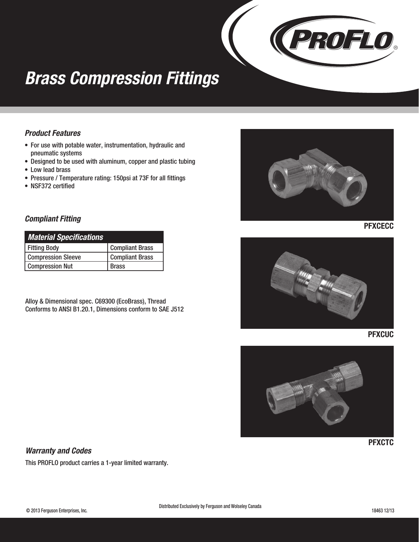

## *Brass Compression Fittings*

### *Product Features*

- For use with potable water, instrumentation, hydraulic and pneumatic systems
- Designed to be used with aluminum, copper and plastic tubing
- Low lead brass
- Pressure / Temperature rating: 150psi at 73F for all fittings
- NSF372 certified

### *Compliant Fitting*

| <b>Material Specifications</b> |                        |
|--------------------------------|------------------------|
| <b>Fitting Body</b>            | <b>Compliant Brass</b> |
| <b>Compression Sleeve</b>      | <b>Compliant Brass</b> |
| <b>Compression Nut</b>         | <b>Brass</b>           |

Alloy & Dimensional spec. C69300 (EcoBrass), Thread Conforms to ANSI B1.20.1, Dimensions conform to SAE J512



**PFXCECC** 







**PFXCTC** 

#### *Warranty and Codes*

This PROFLO product carries a 1-year limited warranty.